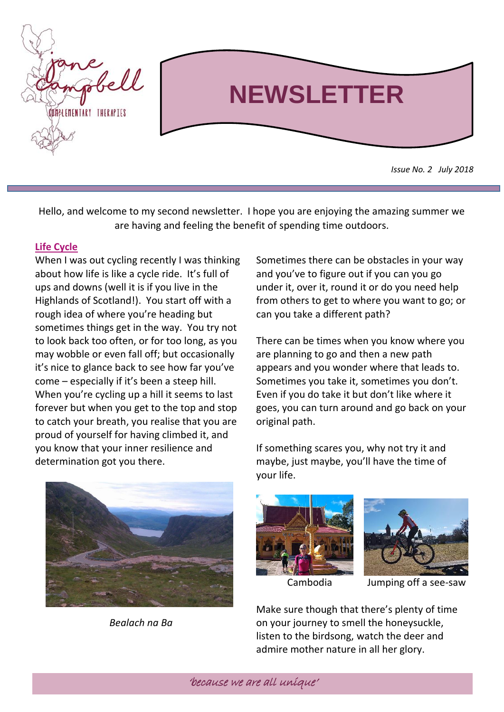

Hello, and welcome to my second newsletter. I hope you are enjoying the amazing summer we are having and feeling the benefit of spending time outdoors.

## **Life Cycle**

When I was out cycling recently I was thinking about how life is like a cycle ride. It's full of ups and downs (well it is if you live in the Highlands of Scotland!). You start off with a rough idea of where you're heading but sometimes things get in the way. You try not to look back too often, or for too long, as you may wobble or even fall off; but occasionally it's nice to glance back to see how far you've come – especially if it's been a steep hill. When you're cycling up a hill it seems to last forever but when you get to the top and stop to catch your breath, you realise that you are proud of yourself for having climbed it, and you know that your inner resilience and determination got you there.



*Bealach na Ba*

Sometimes there can be obstacles in your way and you've to figure out if you can you go under it, over it, round it or do you need help from others to get to where you want to go; or can you take a different path?

There can be times when you know where you are planning to go and then a new path appears and you wonder where that leads to. Sometimes you take it, sometimes you don't. Even if you do take it but don't like where it goes, you can turn around and go back on your original path.

If something scares you, why not try it and maybe, just maybe, you'll have the time of your life.





Cambodia Jumping off a see-saw

Make sure though that there's plenty of time on your journey to smell the honeysuckle, listen to the birdsong, watch the deer and admire mother nature in all her glory.